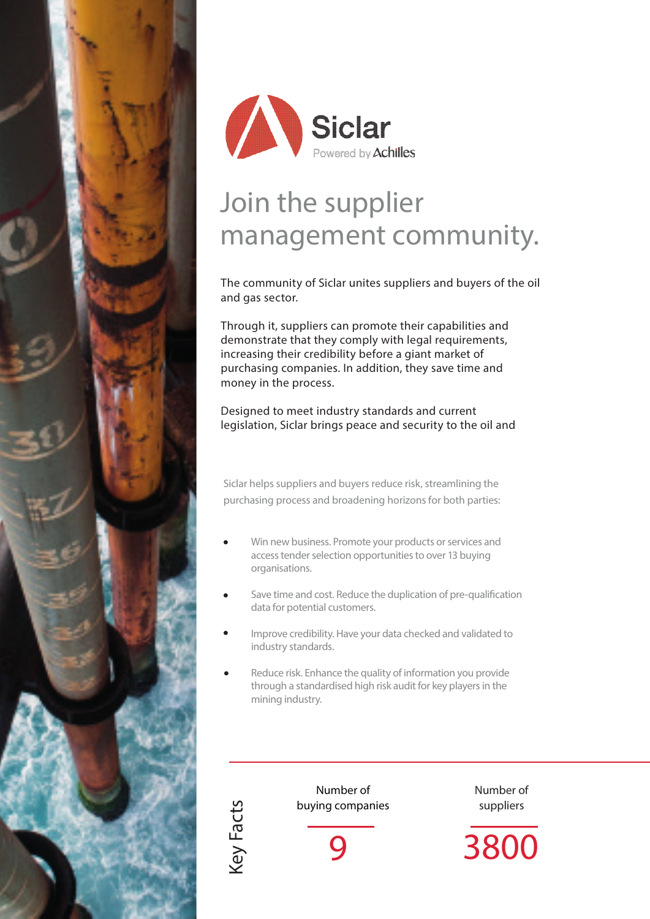



# Join the supplier management community.

The community of Siclar unites suppliers and buyers of the oil and gas sector.

Through it, suppliers can promote their capabilities and demonstrate that they comply with legal requirements, increasing their credibility before a giant market of purchasing companies. In addition, they save time and money in the process.

Designed to meet industry standards and current legislation, Siclar brings peace and security to the oil and

Siclar helps suppliers and buyers reduce risk, streamlining the purchasing process and broadening horizons for both parties:

- Win new business. Promote your products or services and access tender selection opportunities to over 13 buying organisations.
- Save time and cost. Reduce the duplication of pre-qualification data for potential customers.
- Improve credibility. Have your data checked and validated to industry standards.
- Reduce risk. Enhance the quality of information you provide through a standardised high risk audit for key players in the mining industry.



Number of buying companies Number of suppliers